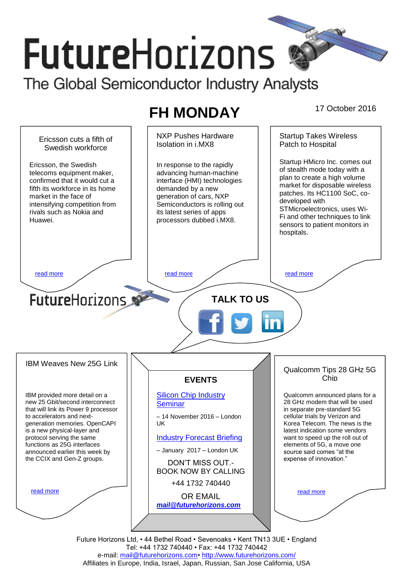# **FutureHorizons**

The Global Semiconductor Industry Analysts

# FH MONDAY 17 October 2016

NXP Pushes Hardware Startup Takes Wireless Ericsson cuts a fifth of Patch to Hospital Isolation in i.MX8 Swedish workforce Startup HMicro Inc. comes out Ericsson, the Swedish In response to the rapidly of stealth mode today with a telecoms equipment maker, advancing human-machine plan to create a high volume confirmed that it would cut a interface (HMI) technologies market for disposable wireless fifth its workforce in its home demanded by a new patches. Its HC1100 SoC, comarket in the face of generation of cars, NXP developed with intensifying competition from Semiconductors is rolling out STMicroelectronics, uses Wirivals such as Nokia and its latest series of apps Fi and other techniques to link Huawei. processors dubbed i.MX8. sensors to patient monitors in hospitals. [read more](#page-1-1) that the second contract the second contract of the read more that the read more that the read more **Future**Horizons **TALK TO US** IBM Weaves New 25G Link Qualcomm Tips 28 GHz 5G Chip **EVENTS** IBM provided more detail on a [Silicon Chip Industry](http://www.futurehorizons.com/page/12/silicon-chip-training)  Qualcomm announced plans for a new 25 Gbit/second interconnect 28 GHz modem that will be used **[Seminar](http://www.futurehorizons.com/page/12/silicon-chip-training)** that will link its Power 9 processor in separate pre-standard 5G to accelerators and next-– 14 November 2016 – London cellular trials by Verizon and generation memories. OpenCAPI UK Korea Telecom. The news is the is a new physical-layer and latest indication some vendors protocol serving the same [Industry Forecast Briefing](http://www.futurehorizons.com/page/13/Semiconductor-Market-Forecast-Seminar) want to speed up the roll out of functions as 25G interfaces elements of 5G, a move one announced earlier this week by – January 2017 – London UK source said comes "at the the CCIX and Gen-Z groups.expense of innovation." DON'T MISS OUT.- BOOK NOW BY CALLING +44 1732 740440 [read more](#page-1-3) [read more](#page-1-4) OR EMAIL *[mail@futurehorizons.com](mailto:mail@futurehorizons.com)*

Future Horizons Ltd, • 44 Bethel Road • Sevenoaks • Kent TN13 3UE • England Tel: +44 1732 740440 • Fax: +44 1732 740442 e-mail: mail@futurehorizons.com• http://www.futurehorizons.com/ Affiliates in Europe, India, Israel, Japan, Russian, San Jose California, USA